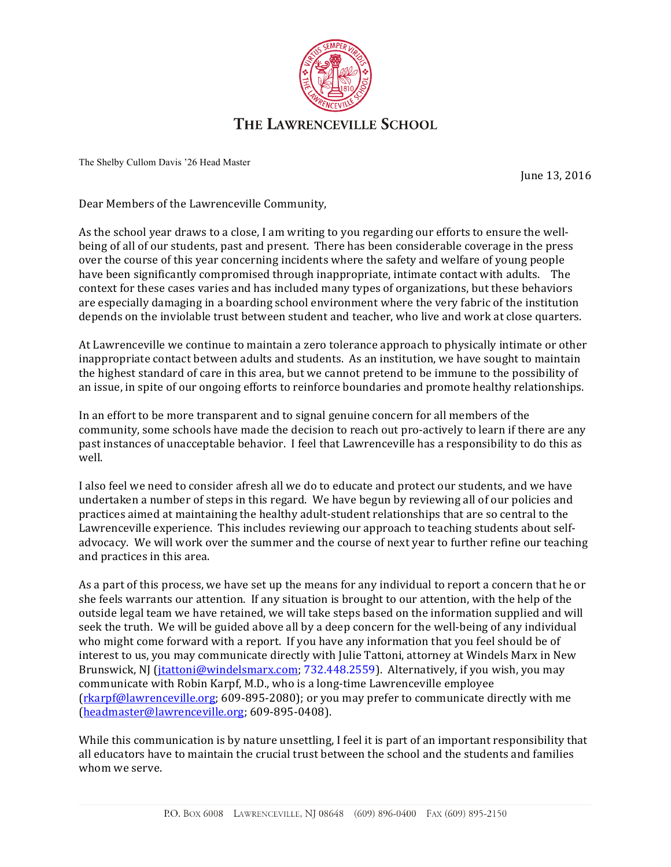

The Shelby Cullom Davis '26 Head Master

June 13, 2016

Dear Members of the Lawrenceville Community,

As the school year draws to a close, I am writing to you regarding our efforts to ensure the wellbeing of all of our students, past and present. There has been considerable coverage in the press over the course of this year concerning incidents where the safety and welfare of young people have been significantly compromised through inappropriate, intimate contact with adults. The context for these cases varies and has included many types of organizations, but these behaviors are especially damaging in a boarding school environment where the very fabric of the institution depends on the inviolable trust between student and teacher, who live and work at close quarters.

At Lawrenceville we continue to maintain a zero tolerance approach to physically intimate or other inappropriate contact between adults and students. As an institution, we have sought to maintain the highest standard of care in this area, but we cannot pretend to be immune to the possibility of an issue, in spite of our ongoing efforts to reinforce boundaries and promote healthy relationships.

In an effort to be more transparent and to signal genuine concern for all members of the community, some schools have made the decision to reach out pro-actively to learn if there are any past instances of unacceptable behavior. I feel that Lawrenceville has a responsibility to do this as well. 

I also feel we need to consider afresh all we do to educate and protect our students, and we have undertaken a number of steps in this regard. We have begun by reviewing all of our policies and practices aimed at maintaining the healthy adult-student relationships that are so central to the Lawrenceville experience. This includes reviewing our approach to teaching students about selfadvocacy. We will work over the summer and the course of next year to further refine our teaching and practices in this area.

As a part of this process, we have set up the means for any individual to report a concern that he or she feels warrants our attention. If any situation is brought to our attention, with the help of the outside legal team we have retained, we will take steps based on the information supplied and will seek the truth. We will be guided above all by a deep concern for the well-being of any individual who might come forward with a report. If you have any information that you feel should be of interest to us, you may communicate directly with Julie Tattoni, attorney at Windels Marx in New Brunswick, NJ (jtattoni@windelsmarx.com; 732.448.2559). Alternatively, if you wish, you may communicate with Robin Karpf, M.D., who is a long-time Lawrenceville employee  $(rkarpf@lawrenceville.org; 609-895-2080)$ ; or you may prefer to communicate directly with me (headmaster@lawrenceville.org; 609-895-0408).

While this communication is by nature unsettling, I feel it is part of an important responsibility that all educators have to maintain the crucial trust between the school and the students and families whom we serve.